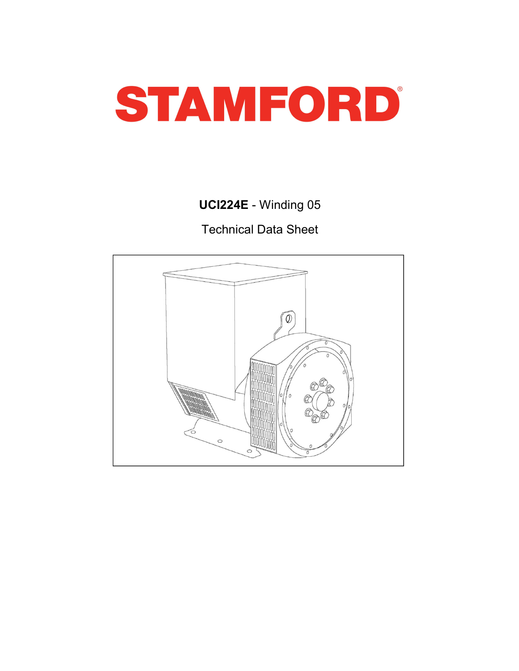

# UCI224E - Winding 05

Technical Data Sheet

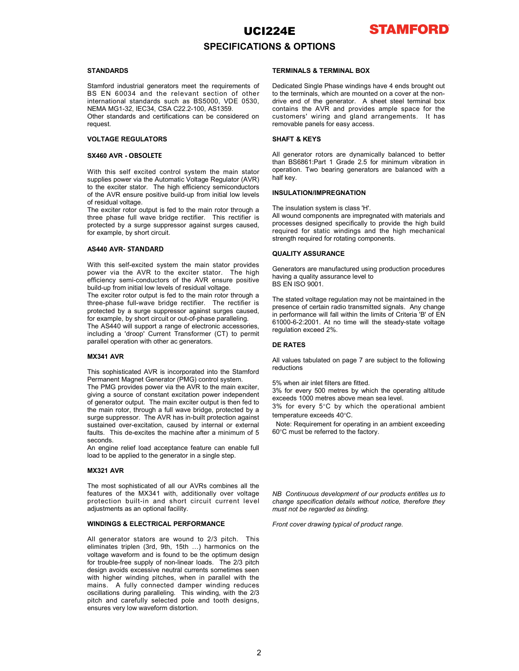

### SPECIFICATIONS & OPTIONS

request. **STANDARDS**<br>
STANDARDS<br>
STANDARDS<br>
STANDARDS<br>
STANDARDS<br>
STANDARDS<br>
STANDARDS<br>
STANDARDS<br>
STANDARDS<br>
STANDARDS<br>
NEMA MG1-32, IEC34, CSA C22.2-100, AS1359.<br>
International standards such as BS5000, VDE 0530, drive end of the **STANDARDS**<br>
STANDARDS<br>
STANDARDS STANDARDS STANDARDS<br>
STANDARDS<br>
STANDARDS<br>
STAND international standards such and the relevant section of other to the terminals, which are mounted on a content<br>
International standards su **STAMING STANDARDS**<br>
STAMINALS A TERMINALS A TERMINAL BOX<br>
Stamford industrial generators meet the requirements of Dedicated Single Phase windings have 4 eBS EN 60034 and the relevant section of other to the terminals, whi **STAMFO**<br>
SPECIFICATIONS & OPTIONS<br>
STANDARDS<br>
STANDARDS<br>
STANDARDS<br>
STANDARDS<br>
STANDARDS<br>
STANDARDS<br>
STANDARDS<br>
STANDARDS<br>
STANDARDS<br>
STANDARDS<br>
STANDARDS<br>
NETRIMINALS & TERMINALS OX<br>
NETRIMINALS ATERMINALS OX<br>
NETRIMINAL **STANDARDS**<br>
STANDARDS<br>
STANDARDS<br>
STANDARDS<br>
STANDARDS<br>
STANDARDS<br>
STANDARDS<br>
STANDARDS<br>
STANDARDS<br>
STANDARDS<br>
STANDARDS<br>
STANDARDS<br>
STANDARDS<br>
NEMALS AS TERMINAL BOX<br>
NEMALS ACTERININAL BOX<br>
NEMALS ACTERINAL BOX<br>
DISTRIB

The material standards such as BS5000. On Existe the main technology and the material or a sheet stale lemminal box<br>the MM MG1-32. IEC34, CSA C22.2-100, AS1359. contains the AVR and provides ample space for the<br>chemeraters NEMA MOE -32 (ESQ, CSA CO22-30 on S1350.<br>
NEMA MOE -32 (ESQ, CSA CO22-100, AS1350.<br>
Other standards and certifications can be considered on customers' wiring and gland arrangements. It has<br>
request.<br>
NOINTAGE REGULATORS<br> Other standards and certifications can be considered on reasonance wirring and gianary areas requests. It has<br>
veguest  $\sim$  Current Transformer (CT) to permit of the current Current Current Current Current Current Current removable panels for easy access.<br> **SHAFT & KEYS**<br>
SMAT & KEYS<br>
SMAT & KEYS<br>
SMAT & KEYS<br>
With this self octied control system the main start correction. Two bearing generators are binamentally balanced to better<br>
With thi VOLTAGE REGUILATORS<br>
SMAGE SAGE SAGE ANT SAGE SAGE AND SAGE SAGE AND SAGE AND SAGE AND SAGE AND SAGE AND SALE SAGE AND SALE SAGE AND SALE SAGE AND SALE SAGE AND SALE SAGE AND SALE SAGE AND SALE SAGE AND SALE SAGE AND SALE

**SX460 AVR - OBSOLETE**<br>
All generator costs are dynamical to be the main stamped to be the set with this set excited control is usual<br>supplies power with the decoration of the Stamford Control operation. Two beaning gener Away The Constraint of the Alift Basis (that Basis (that Basis (that Basis (that Basis (that and the excelse the actual to the action of the Alift Basis (the Alift Basis (the Alift Basis (the Alift Basis (the Alift Basis With this adf excited control system the main stator poperation. Two bearing generators are balanced with a bush to the exciter stato. The high efficiency estimated with a bush of the AVR to the main exciter is main excite and the exciter of the domestic system the main rock of constant with the same power and the exciter state. The bigh differency semiconductors<br>
of the exciter state. The high differency semiconductors<br>
of constant exciter subsets out the main excitered to the main excitered of the main excitered to the main exciter of the dividend to the main relationship of the dividend to the main relationship of the dividend to the main relationship of t of the acceler rotor and the main rotor through a NSULATION/IMPREGNATION<br>of the acceler second profile for the main rotor frotogring in The installation system is dates it.<br>The existe rotor coupled for the main rotor froto of recent the surge of the computer of the Control of the Control of the Control of the Control of the Control of the Control of the Control of the Control of the Control of the Control of the Control of the Control of the The AS40 will as forest later than molecular filling The imation system is described by a sustained by the subsect of the phase follows by internal or the phase follows by internal or the phase of the phase of the phase of from the this de-exciter reaction of the mathematics and the mathematics and interest the machine after the mathematics of the Minimum of the mathematics of the Minimum of the mathematics of the Minimum of the mathematics broadcoup is subject subset of the figure of the figure of the figure of the figure of the main state of the main state of the main state of the main state of the main state provides of the main state provides (accepted th location is electron to the existence of the control of the step.<br>
Manufacture of the AVR on the existence in a single step.<br>
With this self-excited system the main stator provides<br>
Conservation are manufactured using prod **ASSURANCE**<br>With this self-excited system the main stator provides<br>prowner via the AVR to the exciter stator. The high<br>moving a quality assurance level to<br>provident of the AVR of the exciter stator. The high<br>moving a quali With this soft-actived system the main statio provides<br>
Somewhali the software of all our AVRs combines are mainstatived using production procedures<br>
but the most society of the most society of all our AVRs compiles<br>
have power via the AWR to the existe station. The high having a quality assume level to the matrix parameter of the AWR shows the matrix parameter of the matrix parameter of the matrix parameter of the scheme of the scheme of t efficiency semi-conducters of the AVR is uncertainty in a statistical method is a protective instant and the energy of the AVR is the controlled by a super-super-super-super-super-super-super-super-super-super-super-superbuild not how levels of residual values of residual values (and the principal continuital operation may not be maintained in the mexiter rolor output is feld to the mean of order in reciding in The stated voltage regulatio three-phase full-wave bridge receiler controller in the receiler in receiling the controller and the controller product of the controller product of the steady-state voltage and the controller product out-of-phase parallel

seconds.<br>An engine relief load acceptance feature can enable full

for example, by short circuit or underly near the singular particular entropy of the control of the control of the control of the control of the control of the control of the control of the control of the control of the s The AS4410 will support a fangle of electronic accessors.<br>
The sophistical of Nicor Current Transformer (CT) to permit<br>
parallel operation with clien ac generators.<br>
MIX344 AWR<br>
MIX344 AWR<br>
This sophisticated AVR is incorp including a 'droop' Current Transformer (CT) to permit<br>
metalliong a 'droop' Current Transformation be the starmfore waveform and including<br>
This sophisticalized AVR is incorporated into the Starmfore<br>
Formset Magnet Gene for trouble-free supply of non-linear loads. The 2/3 pitch **MX341 AVR**<br>
Mark AM values tabulated on page 7 are subject to the offeriors<br>
This applicated AVR is incorporated into the Stamfon.<br>
The mole procedure in the AVR to the main excels in the filters are filted.<br>
The PMG pro **MX341 AVR**<br>**Mix and Will respect that the component of the Stamford**<br>This sophisticated AVR is incorporated into the stamford reductions<br>The PMG provides power via the AVR to the main exclic . 5% when air link there are f This conkinements and NR is incorporated into the Slamford<br>
Permanent Magnet Generator (PMS) to antrol system and excitations<br>
The PMS provides power value A/W to the main excitation permanent in the filters are first of t This sophistoated AVR is incorporated into the Stanford<br>The manner Magnet Constructed Motor Control system.<br>The mannic Magnet Constructed Motor Standard Constructions and the constrained in the constrained planet<br>of genera Fermiont Magneti Generator (PMG) conter system.<br>The PMG provide power via the AMS to the main excited.<br>The PMG provide power via the AMS to the main excited.<br>
3% for every 500 metres by which the operating attitude<br>the ma The PMS provides power via the AVR to the main science, and the operation and the main science is the constant of the main extent of the metallity and the operation of the metallity and the metallity and the metallity of t

### STANDARDS **STANDARDS STANDARDS STANDARDS**

**UCI224E STAMFORD**<br>
STANDARDS<br>
STANDARDS<br>
STANDARDS<br>
STANDARDS<br>
STANDARDS<br>
STANDARDS<br>
STANDARDS<br>
STANDARDS<br>
STANDARDS<br>
STANDARDS<br>
STANDARDS<br>
STANDARDS<br>
STANDARDS<br>
STAND distances with a scale of the semenator. A sheet stee **UCI224E**<br> **SPECIFICATIONS & OPTIONS**<br>
STANDARDS<br>
STANDARDS<br>
STANDARDS<br>
STANDARDS<br>
STANDARDS<br>
STANDARDS<br>
STANDARDS<br>
STANDARDS<br>
STANDARDS<br>
STANDARDS<br>
NERMAINALS & TERMINAL BOX<br>
NERMA MG1-32, IEC34, CSA CZ2.2-100, AS1359.<br>
N **STAMFORD**<br> **SPECIFICATIONS & OPTIONS**<br>
STANDARDS<br>
STANDARDS<br>
STANDARDS<br>
STANDARDS<br>
STANDARDS<br>
INSERIMINALS ATERMINAL BOX<br>
International standards such as BS5000, VDE 0530, direct and the generator. A sheet steel terminal<br> **UCI224E<br>
SPECIFICATIONS & OPTIONS<br>
STANDARDS<br>
STANDARDS<br>
STANDARDS<br>
STANDARDS<br>
STANDARDS<br>
STANDARDS<br>
STANDARDS<br>
STANDARDS<br>
NEMA MG1-32, IEC34, CSA C22.2-100, AS1359.<br>
NEMA MG1-32, IEC34, CSA C22.2-2100, AS1359.<br>
NEMA MG1-COLATE STAMFORD**<br>
STANDARDS<br>
STANDARDS TERMINALS & TERMINALS ATERMINALS AND ARDS<br>
STANDARDS<br>
SEN 60034 and the relevant section of other to the terminals, which are mounted on a cover at the non-<br>
international standards **UCI224E STAMPORD**<br>
STANDARDS<br>
STANDARDS<br>
STANDARDS<br>
STANDARDS<br>
STANDARDS<br>
STAND ATORS<br>
STAND ATORS<br>
IS EN 60034 and the relevant section of other to the terminals, which are mounted on a cover at the non-<br>
International **STAMDARDS**<br>
SPECIFICATIONS & OPTIONS<br>
SURFAMPAL BOX<br>
SURFAMPAL INCRED CONSECTIONS TERMINAL BOX<br>
SURFAMPAL INCRED INTO THE TRANSIST THEOREM IN THE AUTOMOBY AND THE SURFAMPAL SURFAMPAL BOY<br>
INTERNATION SURFAMPAL SURFAMPAL B **STAMPORD**<br> **STANDARDS**<br>
STANDARDS<br>
STANDARDS<br>
STANDARDS<br>
STANDARDS<br>
STANDARDS<br>
STANDARDS<br>
STAND CONDITIONS ACCRECIATIONS & OPTIONS<br>
IDENT INTERMIE AND SATEM INTERMIE AND CONDUCT CONDUCT BY A sheet steel terminal box<br>
IDEN **STAMFORD**<br>
SPECIFICATIONS & OPTIONS<br>
STANDARDS<br>
STANDARDS<br>
STANDARDS<br>
STANDARDS<br>
STAND (distributed are the requirements of<br>
Dedicated Single Phase windings have 4 ends brought out<br>
SEN 60034 and the relevent action of ot **UCI224E STANDARDS**<br>
STANDARDS<br>
STANDARDS TERNINALS & OPTIONS<br>
STANDARDS<br>
STANDARDS<br>
STANDARDS<br>
STAND (INSTRUMENT AS TERNINALS & TERNINALS AT TERNINALS AT TERNINALS AT TERNINALS AT TERNINALS AT TERNINALS AT TERNINALS AT T **STAMFORD**<br>
SPECIFICATIONS & OPTIONS<br>
STANDARDS<br>
STANDARDS<br>
STANDARDS<br>
STANDARDS<br>
STANDARDS<br>
STANDARDS<br>
STAND (in the relation of the regulierent of Dedicated Single Phase windings have 4 ends brought out<br>
method in a min **STAMFORD**<br>
STANDARDS<br>
STANDARDS<br>
STANDARDS<br>
STANDARDS<br>
STANDARDS<br>
STANDARDS<br>
STANDARDS<br>
STANDARDS<br>
IS CR. NO 034 and the relevant the neutron of other to the terminon, which are enoughed an a conce at the non-<br>
Internati STANDARDS SUBECIFICATIONNS & OPTIONNS<br>
STANDARDS<br>
SISENIONS INSTRUMENTS IN TERMINALS AS TERMINALS AS<br>
SISEN 60034 and the relevant section of other to be itermines, which are mounted on a cover at the non-<br>
International s **STANDARDS**<br>
STERMINALS & TERMINALS & TERMINALS ASSURIENT CONTRACT CONTRACT CONTRACT CONTRACT EST CONSULTS ARE CONSULTS (THE CONSULTS INTERFERENCE IN the CONSULTS INTERFERENCE INTERFERENCE INTERFERENCE CONTRACT CONTRACT CO EFRAINALS ATTERNINALS ATTERNINALS ATTERNINALS ATTERNINALS AND EXAMPLE SURFAIND ARD SERVIN ON DETAILS IS THE SERVICE OF THE SERVICE OF THE SERVICE OF THE SERVICE OF THE SERVICE OF THE SERVICE OF THE SERVICE OF THE SERVICE O **STANDARDS**<br>
STANDARDS<br>
Stanford industrial generators meet the requirements of Dedicated Single Phase windings have 4 ends brought out<br>
SIS CR 60.034 and the relevant section of other to the terminals, which are mounted o Stamford industrial generators meet the requirements of Dedicated Single Phase windings have 4 ends brought is the first part in the relation in context and the relation in context and the main standard and context and the Stanting three-tastics meet the requirements of best-deel Stiglie Phase windows 4 ends broaded rectifier in the recetifier is the rectifier of the rectifier in the recent of the recent of the sensitive. Network of the sens BS EN 60034 and the relevant section of other is ubus terminals, which as moved at the operator of the constrained by a surge suppressor against the surge suppressor and the surge surface of the SCAC222-C222 COLO AS1396.<br> **24E**<br>
STAMFORD<br>
TERMINALS & TERMINAL BOX<br>
Dedicated Single Phase windings have 4 ends brought out<br>
to the terminals, which are mounted on a cover at the non-<br>
drive end of the generator. A sheet steel terminal box<br>
contai **STAMFORD**<br> **STAMFORD**<br> **STAMFORD**<br> **Dedicated Single Phase windings have 4 ends brought out**<br>
to the terminals, which are mounted on a cover at the non-<br>
drive end of the generator. A sheet steel terminal box<br>
contains th **STAMFORD**<br> **STAMFORD**<br> **STAMFORD**<br> **CONFIDUATE ARE SERVERT ARE MANUTABLE SERVERT AND DEVIDED AND DEVERTUATION**<br>
to the terminals, which are mounted on a cover at the non-<br>
drive end of the generator. A sheet steel termina **STAMFORD**<br> **STAMFORD**<br> **STAMFORD**<br> **Dedicated Single Phase windings have 4 ends brought out**<br>
to the terminals, which are mounted on a cover at the non-<br>
drive end of the generator. A sheet steel terminal box<br>
contains th **CALC STAMFORD**<br>
SCOPTIONS<br>
TERMINALS & TERMINAL BOX<br>
Dedicated Single Phase windings have 4 ends brought out<br>
to the terminals, which are mounted on a cover at the non-<br>
drive end of the generator. A sheet steel terminal **STAMFORD**<br> **SS & OPTIONS**<br> **CERNINALS & TERMINAL BOX**<br>
Dedicated Single Phase windings have 4 ends brought out<br>
to the terminals, which are mounted on a cover at the non-<br>
drive end of the generator. A sheet steel termin **STAMFORD**<br> **SS & OPTIONS**<br> **TERMINALS & TERMINAL BOX**<br>
Dedicated Single Phase windings have 4 ends brought out<br>
to the terminals, which are mounted on a cover at the non-<br>
drive end of the generator. A sheet steel termina **STAMFORD**<br>
S & OPTIONS<br>
TERMINALS & TERMINAL BOX<br>
Dedicated Single Phase windings have 4 ends brought out<br>
to the terminals, which are mounted on a cover at the non-<br>
drive end of the generator. A sheet steel terminal box **STAMFORD**<br>
S & OPTIONS<br>
Dedicated Single Phase windings have 4 ends brought out<br>
to the terminals, which are mounted on a cover at the non-<br>
drive end of the generator. A sheet stel terminal box<br>
contains the AVR and prov **STAMFORD**<br>
S & OPTIONS<br>
Dedicated Single Phase windings have 4 ends brought out<br>
to the terminals, which are mounted on a cover at the non-<br>
drive end of the generator. A sheet steel terminal box<br>
customers' wiring and gl **STAMFORD**<br>
S & OPTIONS<br>
Dedicated Single Phase windings have 4 ends brought out<br>
to the terminals, which are mounted on a cover at the non-<br>
drive end of the generator. A sheet steel terminal box<br>
contains the AVR and pro **STAMFORD**<br> **STAMFORD**<br> **SS & OPTIONS**<br>
Dedicated Single Phase windings have 4 ends brought out<br>
to the terminals, which are mounted on a cover at the non-<br>
drive end of the generator. A sheet steel terminal box<br>
contains **STAMFORD**<br>
S & OPTIONS<br>
TERMINALS & TERMINAL BOX<br>
Dedicated Single Phase windings have 4 ends brought out<br>
to the terminals, which are mounted on a cover at the non-<br>
drive end of the generator. A sheet steel terminal box **STAMFORD**<br> **SS & OPTIONS**<br> **Decircated Single Phase windings have 4 ends brought out**<br>
be the terminals, which are mounted on a cover at the non-<br>
three end of the generator. A sheet steel terminal box<br>
contains the AVR a **STAMFORD**<br>
S & OPTIONS<br>
TERMINALS & TERMINAL BOX<br>
Dedicated Single Phase windings have 4 ends brought out<br>
to the terminals, which are mounted on a cover at the non-<br>
contains the AVR and provides ample space for the<br>
con required for static windings and the high mechanical **STAMFORD**<br>
STAMFORD<br>
STAMFORD<br>
DESCRIBIGNET STERMINAL BOX<br>
Dedicated Single Phase windings have 4 ends brought out<br>
do the terminals, which are mounted on a cover at the non-<br>
contains the AVR and provides ample space for **EXERCT SET ASSURANCE SET ASSURANCE SET AND SET AND SET AND SERVID DESCRIBED PROPORTIONS**<br>
Dedicated Single Phase windings have 4 ends brought out to the terminals, which are mounted on a cover at the non-<br>
contains the AV **TERMINALS & TERMINAL BOX**<br>
Dedicated Single Phase windings have 4 ends brought out<br>
to the terminals, which are mounted on a cover at the non-<br>
drive end of the generator. A sheet steel terminal box<br>
contains the AVR and **TERMINALS & TERMINAL BOX**<br>
Dedicated Single Phase windings have 4 ends brought out<br>
to the terminals, which are mounted on a cover at the non-<br>
drive end of the generator. A sheet steel terminal box<br>
customers' wiring and **TERMINALS & TERMINAL BOX**<br>Dedicated Single Phase windings have 4 ends brought out<br>to the terminals, which are mounted on a cover at the non-<br>drive end of the generator. A sheet steel terminal box<br>contains the AVR and prov Dedicated Single Phase windings have 4 ends brought out<br>to the terminals, which are mounted on a cover at the non-<br>to the enerator. A sheet steel terminal box<br>contains the AVR and provides ample space for the<br>customers' wi Dedicated Single Phase windings have 4 ends brought out<br>to the terminals, which are mounted on a cover at the non-<br>drive end of the generator. A shelt stell terminal box<br>contains the AVR and provides ample space for the<br>te

### INSULATION/IMPREGNATION

to the terminals, which are mounted on a cover at the non-<br>drive end of the generator. A sheet steel terminal box<br>contains the AVR and provides ample space for the<br>customers' wiring and gland arrangements. It has<br>removable drive end of the generator. A sheet steel terminal box<br>contains the AVR and provides ample space for the<br>customers' wiring and gland arrangements. It has<br>removable panels for easy access.<br>**SHAFT & KEYS**<br>All generator rotor contains the AVR and provides ample space for the<br>customers' wiring and gland arrangements. It has<br>removable panels for easy access.<br>SHAFT & KEYS<br>All generator rotors are dynamically balanced to better<br>than BS6661:Part 1 G removable panels for easy access.<br>
SHAFT & KEYS<br>
All generator rotors are dynamically balanced to better<br>
All generator rotors are dynamically balanced with a<br>
than BS6861-Part 1 Grade 2.5 for minimum vibration in<br>
operati **SHAFT & KEYS**<br>All generator rotors are dynamically balanced to better<br>All generator rotors are dynamically balanced with a<br>half key.<br> **INSULATION/IMPREGNATION**<br> **INSULATION/IMPREGNATION**<br> **INSULATION/IMPREGNATION**<br> **All v** than BS6861:Part 1 Grade 2.5 for minimum vibration in<br>the massival Team and the poperators. The beats of the factors are balanced with a<br>half key.<br>
INSULATION/IMPREGNATION<br>
The insulation system is class 'H'.<br>
INSULATION/I operation. Two bearing generators are balanced with a<br>half key.<br>INSULATION/IMPREGNATION<br>The insulation system is class 'H'.<br>All wound components are impregnated with materials and<br>processes designed specifically to provide half key.<br>
INENLATION/IMPREGNATION<br>
The insulation system is class "H".<br>
The insulation system is class "H".<br>
All wound components are impregnated with materials and<br>
processes designed specifically to provide the high hui INSULATION/IMPREGNATION<br>The insulation system is class 'H'.<br>All wound components are impregnated with materials and<br>processes designed specifically to provide the high build<br>required for static windings and the high mechan The insulation system is class H<sup>1</sup>.<br>The insulation system is class H<sup>1</sup>.<br>All wound components are impregnated with materials and<br>processes designed specifically to provide the high build<br>required for static windings and t he insulation system is class 'H'.<br>In wound components are impregnated with materials and<br>Invocute of rotatic windings and the high build<br>equired for static windings and the high mechanical<br>trength required for rotating co The manuator system to destain the might of the high bund components are impegnated with materials and production required for static windings and the high mechanical strength required for rotating components.<br> **QUALITY AS** having a quality assurance level to<br>
BS EN ISO 9001.<br>
The stated voltage regulation may not be maintained in the<br>
Interstrance will fall within the limits of Criteria <sup>13</sup> of EN<br>
in performance will fall within the limits BS EN ISO 9001.<br>The stated voltage regulation may not be maintained in the<br>presence of certain radio transmitted signals. Any change<br>in performance will fall within the limits of Criteria TS' of EN<br>ergulation exceed 2%.<br>Co The stated voltage regulation may not be maintained in the presence of certain radio transmitted signals. Any change presence of certain radio transmitted signals. Any change is preformance will fall within the limits of C presence of certain radio transmitted signals. Any change<br>in performance will fall within the limits of Criteria 'B' of EN<br>61000-6-2:2001. At no time will the limits of Criteria 'B' of EN<br>61000-6-2:2001. At no time will th

reductions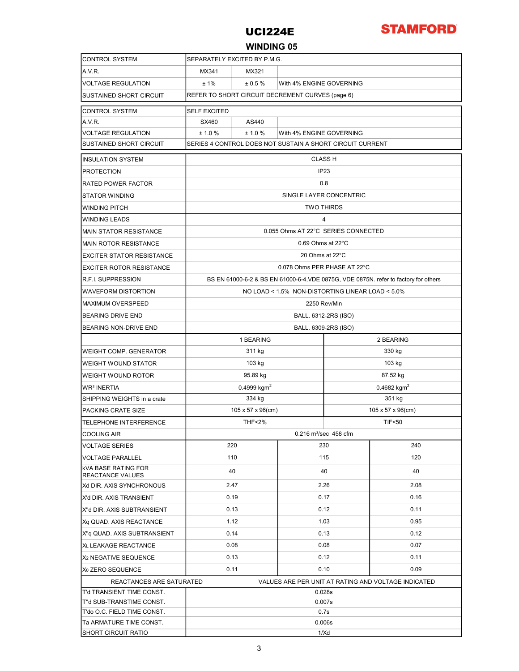

### WINDING 05

| <b>CONTROL SYSTEM</b>                                 | SEPARATELY EXCITED BY P.M.G.                                                         |                   |              |                         |      |  |  |  |  |
|-------------------------------------------------------|--------------------------------------------------------------------------------------|-------------------|--------------|-------------------------|------|--|--|--|--|
| A.V.R.                                                | MX341                                                                                | MX321             |              |                         |      |  |  |  |  |
| VOLTAGE REGULATION                                    | ±1%<br>± 0.5%<br>With 4% ENGINE GOVERNING                                            |                   |              |                         |      |  |  |  |  |
| <b>SUSTAINED SHORT CIRCUIT</b>                        | REFER TO SHORT CIRCUIT DECREMENT CURVES (page 6)                                     |                   |              |                         |      |  |  |  |  |
| <b>CONTROL SYSTEM</b>                                 | <b>SELF EXCITED</b>                                                                  |                   |              |                         |      |  |  |  |  |
| A.V.R.                                                | SX460                                                                                | AS440             |              |                         |      |  |  |  |  |
| <b>VOLTAGE REGULATION</b>                             | ± 1.0%<br>± 1.0%<br>With 4% ENGINE GOVERNING                                         |                   |              |                         |      |  |  |  |  |
| <b>SUSTAINED SHORT CIRCUIT</b>                        | SERIES 4 CONTROL DOES NOT SUSTAIN A SHORT CIRCUIT CURRENT                            |                   |              |                         |      |  |  |  |  |
| <b>INSULATION SYSTEM</b>                              | <b>CLASS H</b>                                                                       |                   |              |                         |      |  |  |  |  |
| <b>PROTECTION</b>                                     | IP <sub>23</sub>                                                                     |                   |              |                         |      |  |  |  |  |
| <b>RATED POWER FACTOR</b>                             | 0.8                                                                                  |                   |              |                         |      |  |  |  |  |
| <b>STATOR WINDING</b>                                 | SINGLE LAYER CONCENTRIC                                                              |                   |              |                         |      |  |  |  |  |
| <b>WINDING PITCH</b>                                  | <b>TWO THIRDS</b>                                                                    |                   |              |                         |      |  |  |  |  |
| <b>WINDING LEADS</b>                                  | $\overline{4}$                                                                       |                   |              |                         |      |  |  |  |  |
| <b>MAIN STATOR RESISTANCE</b>                         | 0.055 Ohms AT 22°C SERIES CONNECTED                                                  |                   |              |                         |      |  |  |  |  |
| <b>MAIN ROTOR RESISTANCE</b>                          | 0.69 Ohms at 22°C                                                                    |                   |              |                         |      |  |  |  |  |
| EXCITER STATOR RESISTANCE                             | 20 Ohms at 22°C                                                                      |                   |              |                         |      |  |  |  |  |
| <b>EXCITER ROTOR RESISTANCE</b>                       | 0.078 Ohms PER PHASE AT 22°C                                                         |                   |              |                         |      |  |  |  |  |
| <b>R.F.I. SUPPRESSION</b>                             | BS EN 61000-6-2 & BS EN 61000-6-4, VDE 0875G, VDE 0875N. refer to factory for others |                   |              |                         |      |  |  |  |  |
| WAVEFORM DISTORTION                                   | NO LOAD < 1.5% NON-DISTORTING LINEAR LOAD < 5.0%                                     |                   |              |                         |      |  |  |  |  |
| <b>MAXIMUM OVERSPEED</b>                              | 2250 Rev/Min                                                                         |                   |              |                         |      |  |  |  |  |
| <b>BEARING DRIVE END</b>                              | BALL. 6312-2RS (ISO)                                                                 |                   |              |                         |      |  |  |  |  |
| <b>BEARING NON-DRIVE END</b>                          | BALL. 6309-2RS (ISO)                                                                 |                   |              |                         |      |  |  |  |  |
|                                                       | 1 BEARING<br>2 BEARING                                                               |                   |              |                         |      |  |  |  |  |
| <b>WEIGHT COMP. GENERATOR</b>                         |                                                                                      | 311 kg            |              | 330 kg                  |      |  |  |  |  |
| <b>WEIGHT WOUND STATOR</b>                            |                                                                                      | 103 kg            |              | 103 kg                  |      |  |  |  |  |
| <b>WEIGHT WOUND ROTOR</b>                             |                                                                                      | 95.89 kg          |              | 87.52 kg                |      |  |  |  |  |
| WR <sup>2</sup> INERTIA                               |                                                                                      | 0.4999 $kgm2$     |              | 0.4682 kgm <sup>2</sup> |      |  |  |  |  |
| SHIPPING WEIGHTS in a crate                           |                                                                                      | 334 kg            |              | 351 kg                  |      |  |  |  |  |
| PACKING CRATE SIZE                                    |                                                                                      | 105 x 57 x 96(cm) |              | 105 x 57 x 96(cm)       |      |  |  |  |  |
| <b>TELEPHONE INTERFERENCE</b>                         |                                                                                      | <b>THF&lt;2%</b>  |              | <b>TIF&lt;50</b>        |      |  |  |  |  |
| COOLING AIR                                           | 0.216 m <sup>3</sup> /sec 458 cfm                                                    |                   |              |                         |      |  |  |  |  |
| <b>VOLTAGE SERIES</b>                                 | 220                                                                                  |                   |              | 230<br>240              |      |  |  |  |  |
| VOLTAGE PARALLEL                                      | 110                                                                                  |                   | 115          |                         | 120  |  |  |  |  |
| kVA BASE RATING FOR                                   |                                                                                      | 40                |              | 40                      | 40   |  |  |  |  |
| <b>REACTANCE VALUES</b><br>Xd DIR. AXIS SYNCHRONOUS   | 2.47                                                                                 |                   | 2.26         |                         | 2.08 |  |  |  |  |
| X'd DIR. AXIS TRANSIENT                               | 0.19                                                                                 |                   |              |                         | 0.16 |  |  |  |  |
| X"d DIR. AXIS SUBTRANSIENT                            | 0.13                                                                                 |                   | 0.17<br>0.12 |                         | 0.11 |  |  |  |  |
| Xq QUAD. AXIS REACTANCE                               | 1.12                                                                                 |                   | 1.03         |                         | 0.95 |  |  |  |  |
| X"q QUAD. AXIS SUBTRANSIENT                           | 0.14                                                                                 |                   | 0.13         |                         | 0.12 |  |  |  |  |
| XL LEAKAGE REACTANCE                                  | 0.08                                                                                 |                   | 0.08         |                         | 0.07 |  |  |  |  |
| X <sub>2</sub> NEGATIVE SEQUENCE                      |                                                                                      |                   | 0.12         |                         | 0.11 |  |  |  |  |
| X <sub>0</sub> ZERO SEQUENCE                          | 0.13                                                                                 |                   |              |                         |      |  |  |  |  |
|                                                       | 0.11<br>0.10<br>0.09                                                                 |                   |              |                         |      |  |  |  |  |
| REACTANCES ARE SATURATED<br>T'd TRANSIENT TIME CONST. | VALUES ARE PER UNIT AT RATING AND VOLTAGE INDICATED                                  |                   |              |                         |      |  |  |  |  |
| T"d SUB-TRANSTIME CONST.                              | 0.028s<br>0.007s                                                                     |                   |              |                         |      |  |  |  |  |
| T'do O.C. FIELD TIME CONST.                           | 0.7s                                                                                 |                   |              |                         |      |  |  |  |  |
| Ta ARMATURE TIME CONST.                               | 0.006s                                                                               |                   |              |                         |      |  |  |  |  |
| SHORT CIRCUIT RATIO                                   | 1/Xd                                                                                 |                   |              |                         |      |  |  |  |  |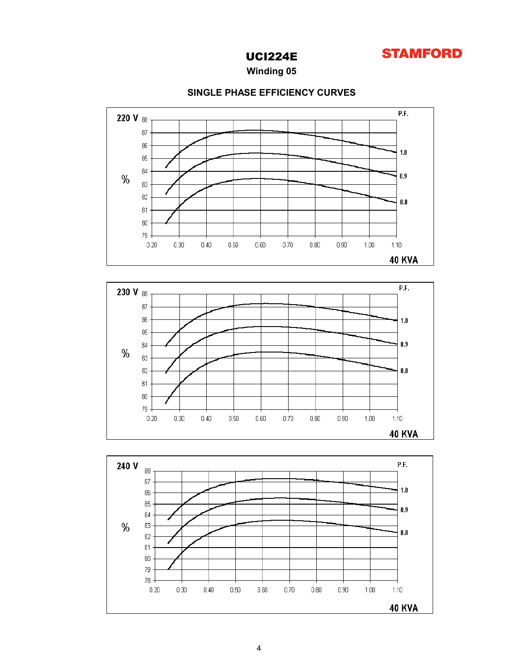

Winding 05



### SINGLE PHASE EFFICIENCY CURVES



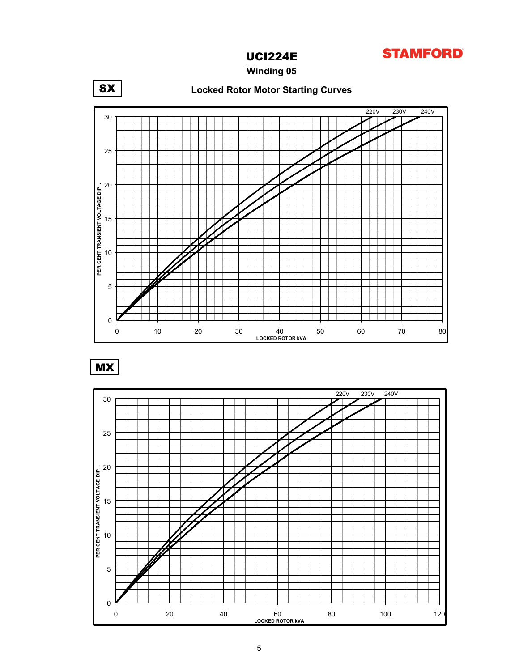

Winding 05



MX

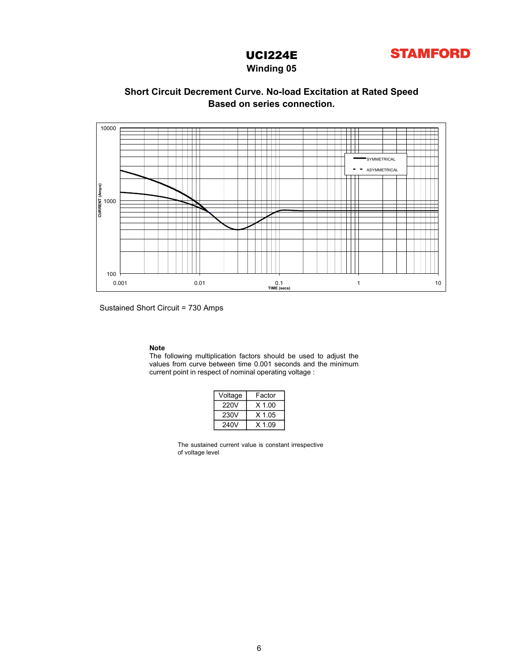

### Winding 05

### Based on series connection. Short Circuit Decrement Curve. No-load Excitation at Rated Speed



Sustained Short Circuit = 730 Amps

Note<br>The following multiplication factors should be used to adjust the<br>values from curve between time 0.001 seconds and the minimum

| Voltage | Factor   |
|---------|----------|
| 220V    | $X$ 1.00 |
| 230V    | $X$ 1.05 |
| 240V    | $X$ 1.09 |

The sustained current value is constant irrespective of voltage level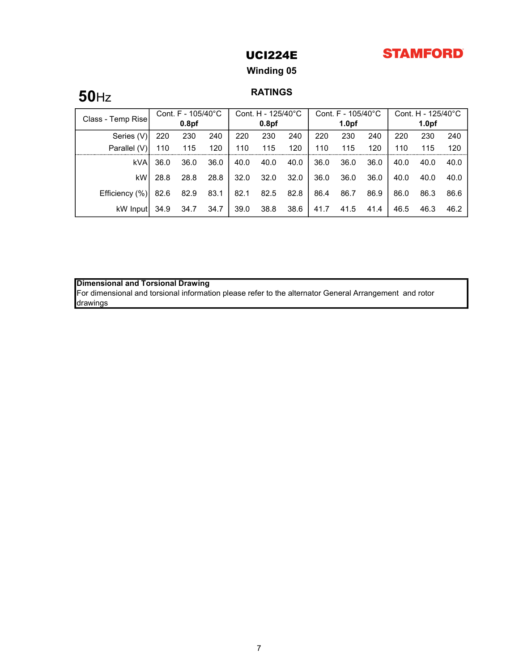# **STAMFORD**

## UCI224E

## Winding 05

# **50**Hz RATINGS

| Class - Temp Rise | Cont. F - 105/40°C |                   | Cont. H - 125/40°C |      | Cont. F - 105/40°C |      |      | Cont. H - 125/40°C |      |      |                   |      |
|-------------------|--------------------|-------------------|--------------------|------|--------------------|------|------|--------------------|------|------|-------------------|------|
|                   |                    | 0.8 <sub>pf</sub> |                    |      | 0.8 <sub>pf</sub>  |      |      | 1.0 <sub>pf</sub>  |      |      | 1.0 <sub>pf</sub> |      |
| Series (V)        | 220                | 230               | 240                | 220  | 230                | 240  | 220  | 230                | 240  | 220  | 230               | 240  |
| Parallel (V)      | 110                | 115               | 120                | 110  | 115                | 120  | 110  | 115                | 120  | 110  | 115               | 120  |
| kVA               | 36.0               | 36.0              | 36.0               | 40.0 | 40.0               | 40.0 | 36.0 | 36.0               | 36.0 | 40.0 | 40.0              | 40.0 |
| kW                | 28.8               | 28.8              | 28.8               | 32.0 | 32.0               | 32.0 | 36.0 | 36.0               | 36.0 | 40.0 | 40.0              | 40.0 |
| Efficiency (%)    | 82.6               | 82.9              | 83.1               | 82.1 | 82.5               | 82.8 | 86.4 | 86.7               | 86.9 | 86.0 | 86.3              | 86.6 |
| kW Input          | 34.9               | 34.7              | 34.7               | 39.0 | 38.8               | 38.6 | 41.7 | 41.5               | 41.4 | 46.5 | 46.3              | 46.2 |

### Dimensional and Torsional Drawing

For dimensional and torsional information please refer to the alternator General Arrangement and rotor drawings